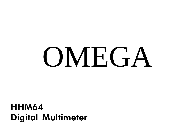# **OMEGA**

HHM64 Digital Multimeter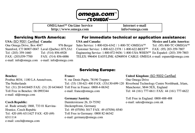

OMEGAnetSM On-Line Service http://www.omega.com

Internet e-mail info@omega.com

#### Servicing North America:

#### USA: ISO 9001 Certified Canada: One Omega Drive, Box 4047 976 Bergar Stamford, CT 06907-0047 Laval (Quebec) H7L5A1 Tel: (203) 359-1660 Tel: (514) 856-6928 FAX: (203)359-7700 FAX: (514) 856-6886 e-mail: info@omega.com e-mail: info@omega.com

## **For immediate technical or application assistance:**<br>ISA and Canada: Mexico and Latin Americ

Mexico and Latin America:<br>Tel: (95) 800-TC-OMEGA<sup>SM</sup>

Sales Service: 1-800-826-6342 / 1-800-TC-OMEGA<sup>SM</sup> Customer Service: 1-800-622-2378 / 1-800-622-BESTSM FAX: (95) 203-359-7807 Engineering Service: 1-800-872-9436 / 1-800-USA-WHENSM En Español: (203) 359-7803 TELEX: 996404 EASYLINK: 62968934 CABLE: OMEGA e-mail: espanol@omega.com

#### Servicing Europe:

#### Benelux:

Postbus 8034, 1180 LA Amstelveen, The Netherlands Tel: (31) 20 6418405 FAX: (31) 20 6434643 Toll Free in France: 0800-4-06342 Toll Free in Benelux: 06 0993344 e-mail: nl@omega.com

#### Czech Republic:

ul. Rude armady 1868, 733 01 Karvina-Hranice, Czech Repubic Tel: 420 (69) 6311627 FAX: 420 (69) 6311114 e-mail: czech@omega.com

#### France:

9, rue Denis Papin, 78190 Trappes Tel: (33) 130-621-400 FAX: (33)130-699-120 e-mail: france@omega.com

#### Germany/Austria:

Daimlerstrasse 26, D-75392 Deckenpfronn, Germany Tel: 49 (07056) 3017 FAX: 49 (07056) 8540 Toll Free in Germany: 0800 82 66342 e-mail: germany@omega.com

United Kingdom: ISO 9002 Certified One Omega Drive Riverbend Technology Centre Northbank, Irlam, Manchester, M44 5EX, England Tel: 44 (161) 777-6611 FAX: 44 (161) 777-6622

Toll Free in England: 0800-488-488 e-mail: sales@omega.com.uk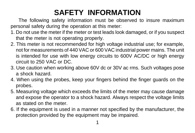# **SAFETY INFORMATION**

 The following safety information must be observed to insure maximum personal safety during the operation at this meter:

- 1. Do not use the meter if the meter or test leads look damaged, or if you suspect that the meter is not operating properly.
- 2. This meter is not recommended for high voltage industrial use; for example, not for measurements of 440 VAC or 600 VAC industrial power mains. The unit is intended for use with low energy circuits to 600V AC/DC or high energy circuit to 250 VAC or DC.
- 3. Use caution when working above 60V dc or 30V ac rms. Such voltages pose a shock hazard.
- 4. When using the probes, keep your fingers behind the finger guards on the probes.
- 5. Measuring voltage which exceeds the limits of the meter may cause damage and expose the operator to a shock hazard. Always respect the voltage limits as stated on the meter.
- 6. If the equipment is used in a manner not specified by the manufacturer, the protection provided by the equipment may be impaired.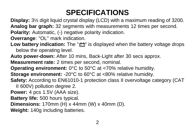# **SPECIFICATIONS**

**Display:** 3½ digit liquid crystal display (LCD) with a maximum reading of 3200. **Analog bar graph:** 32 segments with measurements 12 times per second. **Polarity:** Automatic, (-) negative polarity indication.

**Overrange**: "OL" mark indication.

**Low battery indication:** The "**E** is displayed when the battery voltage drops below the operating level.

**Auto power-down:** After 10 mins, Back-Light after 30 secs approx.

**Measurement rate:** 2 times per second, nominal.

**Operating environment:** 0°C to 50°C at <70% relative humidity.

**Storage environment: -20°C to 60°C at <80% relative humidity.** 

**Safety:** According to EN61010-1 protection class II overvoltage category (CAT

II 600V) pollution degree 2.

**Power:** 4 pcs 1.5V (AAA size).

**Battery life:** 500 hours typical.

**Dimensions:** 170mm (H) x 44mm (W) x 40mm (D).

**Weight:** 140g including batteries.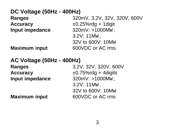| DC Voltage (50Hz - 400Hz) |                              |
|---------------------------|------------------------------|
| Ranges                    | 320mV, 3.2V, 32V, 320V, 600V |
| Accuracy                  | $\pm 0.25\%$ rdg + 1 digit   |
| Input impedance           | 320mV: >1000Mw;              |
|                           | 3.2V: 11Mw,                  |
|                           | 32V to 600V: 10Mw            |
| <b>Maximum input</b>      | 600VDC or AC rms             |

## **AC Voltage (50Hz - 400Hz)**

**Input impedance** 320mV: >1000MW ;

**Ranges** 3.2V, 32V, 320V, 600V **Accuracy** ±0.75%rdg + 4digits 3.2V: 11MW , 32V to 600V: 10MW **Maximum input** 600VDC or AC rms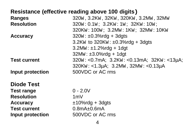## **Resistance (effective reading above 100 digits**)

| Ranges              | 320w. 3.2Kw. 32Kw. 320Kw. 3.2Mw. 32Mw         |
|---------------------|-----------------------------------------------|
| <b>Resolution</b>   | 320w: 0.1w; 3.2Kw: 1w; 32Kw: 10w;             |
|                     | 320KW: 100W; 3.2MW: 1KW; 32MW: 10KW           |
| Accuracy            | $320w : ±0.3\%$ rdg + 3dgts                   |
|                     | $3.2$ Kw to $320$ Kw: $\pm 0.3\%$ rdg + 3dgts |
|                     | $3.2Mw: \pm 1.2\%$ rdg + 1dgt                 |
|                     | $32Mw: \pm 3.0\%$ rdg + 1dgt                  |
| <b>Test current</b> | 320w: <0.7mA; 3.2Kw: <0.13mA; 32Kw: <13µA;    |
|                     | 320Kw: <1.3µA; 3.2Mw, 32Mw: <0.13µA           |
| Input protection    | 500VDC or AC rms                              |
| <b>Diode Test</b>   |                                               |
| <b>Test range</b>   | $0 - 2.0V$                                    |
| <b>Resolution</b>   | 1mV                                           |
| Accuracy            | $±10\%$ rdg + 3dgts                           |
| <b>Test current</b> | $0.8$ m $A \pm 0.6$ m $A$                     |
| Input protection    | 500VDC or AC rms                              |
|                     |                                               |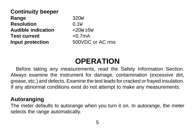| 320 <sub>W</sub>     |
|----------------------|
| 0.1w                 |
| $<$ 20w $\pm$ 5w     |
| < 0.7 <sub>m</sub> A |
| 500VDC or AC rms     |
|                      |

# **OPERATION**

Before taking any measurements, read the Safety Information Section. Always examine the instrument for damage, contamination (excessive dirt, grease, etc.) and defects. Examine the test leads for cracked or frayed insulation. If any abnormal conditions exist do not attempt to make any measurements.

## **Autoranging**

The meter defaults to autorange when you turn it on. In autorange, the meter selects the range automatically.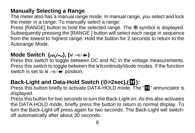## **Manually Selecting a Range**

The meter also has a manual range mode. In manual range, you select and lock the meter in a range. To manually select a range:

Press [RANGE] button to hold the selected range. The  $\bullet$  symbol is displayed. Subsequently pressing the [RANGE ] button will select each range in sequence from the lowest to highest range. Hold the button for 2 seconds to return to the Autorange Mode.

## **Mode Switch (<del>...</del>/~), (**W/++)

Press this switch to toggle between DC and AC in the voltage measurements. Press this switch to toggle between the W **/**continuity/diode modes. If the function switch is set to  $W \rightarrow W + \nu$  position.

## Back-Light and Data-Hold Switch (※>2sec), (H):

**Press this button briefly to activate DATA-HOLD mode. The "III"** annunciator is displayed.

Press this button for two seconds to turn the Back-Light on. As this also activates the DATA-HOLD mode, briefly press the button to return to normal display. To turn the Back-Light off press again for two seconds. The Back-Light will switchoff automatically after about 30 seconds.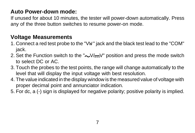## **Auto Power-down mode:**

If unused for about 10 minutes, the tester will power-down automatically. Press any of the three button switches to resume power-on mode.

## **Voltage Measurements**

- 1. Connect a red test probe to the "VW " jack and the black test lead to the "COM" jack.
- 2. Set the Function switch to the " $\sqrt{V}$ " position and press the mode switch to select DC or AC.
- 3. Touch the probes to the test points, the range will change automatically to the level that will display the input voltage with best resolution.
- 4. The value indicated in the display window is the measured value of voltage with proper decimal point and annunciator indication.
- 5. For dc, a (-) sign is displayed for negative polarity; positive polarity is implied.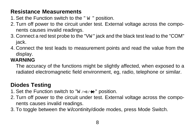## **Resistance Measurements**

- 1. Set the Function switch to the " W " position.
- 2. Turn off power to the circuit under test. External voltage across the components causes invalid readings.
- 3. Connect a red test probe to the "VW " jack and the black test lead to the "COM" jack.
- 4. Connect the test leads to measurement points and read the value from the display.

## **WARNING**

The accuracy of the functions might be slightly affected, when exposed to a radiated electromagnetic field environment, eg, radio, telephone or similar.

## **Diodes Testing**

- 1. Set the Function switch to " $W \rightarrow W' + W'$  position.
- 2. Turn off power to the circuit under test. External voltage across the components causes invalid readings.
- 3. To toggle between the W **/**continity/diode modes, press Mode Switch.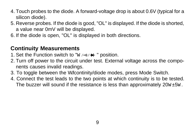- 4. Touch probes to the diode. A forward-voltage drop is about 0.6V (typical for a silicon diode).
- 5. Reverse probes. If the diode is good, "OL" is displayed. If the diode is shorted, a value near 0mV will be displayed.
- 6. If the diode is open, "OL" is displayed in both directions.

## **Continuity Measurements**

- 1. Set the Function switch to " $W \wedge W \rightarrow W$ " position.
- 2. Turn off power to the circuit under test. External voltage across the components causes invalid readings.
- 3. To toggle between the W**/**continity/diode modes, press Mode Switch.
- 4. Connect the test leads to the two points at which continuity is to be tested. The buzzer will sound if the resistance is less than approximately 20w ±5w.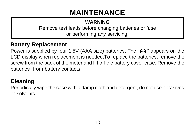# **MAINTENANCE**

## **WARNING**

Remove test leads before changing batteries or fuse or performing any servicing.

## **Battery Replacement**

Power is supplied by four 1.5V (AAA size) batteries. The  $\mathbb{F}$  appears on the LCD display when replacement is needed.To replace the batteries, remove the screw from the back of the meter and lift off the battery cover case. Remove the batteries from battery contacts.

## **Cleaning**

Periodically wipe the case with a damp cloth and detergent, do not use abrasives or solvents.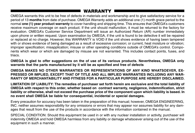### WARRANTY

OMEGA warrants this unit to be free of defects in materials and workmanship and to give satisfactory service for a period of 13 months from date of purchase. OMEGA Warranty adds an additional one (1) month grace period to the normal one (1) year product warranty to cover handling and shipping time. This ensures that OMEGA's customers receive maximum coverage on each product. If the unit should malfunction, it must be returned to the factory for evaluation. OMEGA's Customer Service Department will issue an Authorized Return (AR) number immediately upon phone or written request. Upon examination by OMEGA, if the unit is found to be defective it will be repaired or replaced at no charge. However, this WARRANTY is VOID if the unit shows evidence of having been tampered with or shows evidence of being damaged as a result of excessive corrosion; or current, heat moisture or vibration; improper specification; misapplication; misuse or other operating conditions outside of OMEGA's control. Components which wear or which are damaged by misuse are not warranted. This includes contact points, fuses, and triacs.

OMEGA is glad to offer suggestions on the of use of its various products. Nevertheless, OMEGA only warrants that the parts manufactured by it will be as specified and free of defects

OMEGA MAKES NO OTHER WARRANTIES OR REPRESENTATIONS OF ANY KIND WHATSOEVER, EX-PRESSED OR IMPLIED, EXCEPT THAT OF TITLE AND ALL IMPLIED WARRANTIES INCLUDING ANY WAR-RANTY OF MERCHANTABILITY AND FITNESS FOR A PARTICULAR PURPOSE ARE HEREBY DISCLAIMED.

LIMITATION OF LIABILITY: The remedies of purchaser set forth herein are exclusive and the total liability of OMEGA with respect to this order, whether based on contract warranty, negligence, indemnification, strict liability or otherwise, shall not exceed the purchase price of the component upon which liability is based. In no event shall OMEGA be liable for consequential, incidental or special damages.

Every precaution for accuracy has been taken in the preparation of this manual; however, OMEGA ENGINEERING, INC. neither assumes responsibility for any omissions or errors that may appear nor assumes liability for any damages that result from the use of the products in accordance with the information contained in the manual.

SPECIAL CONDITION: Should this equipment be used in or with any nuclear installation or activity, purchaser will indemnity OMEGA and hold OMEGA harmless from any liability or damage whatsoever arising out of the use of the equipment in such a manner.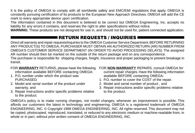It is the policy of OMEGA to comply with all worldwide safety and EMC/EMI regulations that apply. OMEGA is constantly pursuing certification of its products to the European New Approach Directives. OMEGA will add the CE mark to every appropriate device upon certification.

The information contained in this document is believed to be correct but OMEGA Engineering, Inc. accepts no liability for any errors it contains, and reserves the right to alter specifications without notice.

**WARNING:** These products are not designed for use in, and should not be used for, patient connected application.

### RETURN REQUESTS / INQUIRIES

Direct all warranty and repair requests/inquiries to the OMEGA Customer Service Department. BEFORE RETURNING ANY PRODUCT(S) TO OMEGA, PURCHASER MUST OBTAIN AN AUTHORIZED RETURN (AR) NUMBER FROM OMEGA'S CUSTOMER SERVICE DEPARTMENT (IN ORDER TO AVOID PROCESSING DELAYS). The assigned AR number should then be marked on the outside of the return package and on any correspondence.

The purchaser is responsible for shipping charges, freight, insurance and proper packaging to prevent breakage in transit.

#### FOR **WARRANTY** RETURNS, please have the following information available BEFORE contacting OMEGA:

- 1. P.O. number under which the product was **PURCHASED.**
- 2. Model and serial number of the product under warranty, and
- 3. Repair instructions and/or specific problems relative to the product.

#### FOR **NON-WARRANTY** REPAIRS, consult OMEGA for current repair charges. Have the following information available BEFORE contacting OMEGA:

- 1. P.O. number to cover the COST of the repair.
- 2. Model and serial number of product , and
- 3. Repair instructions and/or specific problems relative to the product.

OMEGA's policy is to make running changes, not model changes, whenever an improvement is possible. This affords our customers the latest in technology and engineering. OMEGA is a registered trademark of OMEGA ENGINEERING, INC. © Copyright 1999 OMEGA ENGINEERING, INC. All rights reserved. This document may not be copied, photocopied, reproduced, translated, or reduced to any electronic medium or machine-readable from, in whole or in part, without prior written consent of OMEGA ENGINEERING, INC.